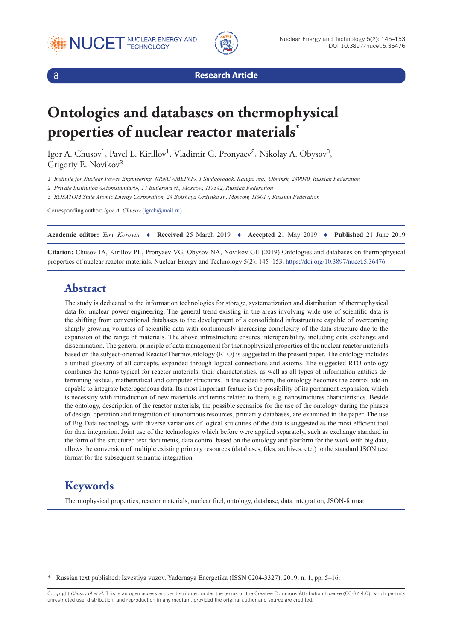





**Research Article**

# **Ontologies and databases on thermophysical properties of nuclear reactor materials\***

Igor A. Chusov<sup>1</sup>, Pavel L. Kirillov<sup>1</sup>, Vladimir G. Pronyaev<sup>2</sup>, Nikolay A. Obysov<sup>3</sup>, Grigoriy E. Novikov<sup>3</sup>

1 *Institute for Nuclear Power Engineering, NRNU «MEPhI», 1 Studgorodok, Kaluga reg., Obninsk, 249040, Russian Federation*

2 *Private Institution «Atomstandart», 17 Butlerova st., Moscow, 117342, Russian Federation*

3 *ROSATOM State Atomic Energy Corporation, 24 Bolshaya Ordynka st., Moscow, 119017, Russian Federation*

Corresponding author: *Igor A. Chusov* ([igrch@mail.ru](mailto:igrch@mail.ru))

| Academic editor: Yury Korovin ♦ Received 25 March 2019 ♦ Accepted 21 May 2019 ♦ Published 21 June 2019 |  |  |  |
|--------------------------------------------------------------------------------------------------------|--|--|--|
|                                                                                                        |  |  |  |

**Citation:** Chusov IA, Kirillov PL, Pronyaev VG, Obysov NA, Novikov GE (2019) Ontologies and databases on thermophysical properties of nuclear reactor materials. Nuclear Energy and Technology 5(2): 145–153. <https://doi.org/10.3897/nucet.5.36476>

### **Abstract**

The study is dedicated to the information technologies for storage, systematization and distribution of thermophysical data for nuclear power engineering. The general trend existing in the areas involving wide use of scientific data is the shifting from conventional databases to the development of a consolidated infrastructure capable of overcoming sharply growing volumes of scientific data with continuously increasing complexity of the data structure due to the expansion of the range of materials. The above infrastructure ensures interoperability, including data exchange and dissemination. The general principle of data management for thermophysical properties of the nuclear reactor materials based on the subject-oriented ReactorThermoOntology (RTO) is suggested in the present paper. The ontology includes a unified glossary of all concepts, expanded through logical connections and axioms. The suggested RTO ontology combines the terms typical for reactor materials, their characteristics, as well as all types of information entities determining textual, mathematical and computer structures. In the coded form, the ontology becomes the control add-in capable to integrate heterogeneous data. Its most important feature is the possibility of its permanent expansion, which is necessary with introduction of new materials and terms related to them, e.g. nanostructures characteristics. Beside the ontology, description of the reactor materials, the possible scenarios for the use of the ontology during the phases of design, operation and integration of autonomous resources, primarily databases, are examined in the paper. The use of Big Data technology with diverse variations of logical structures of the data is suggested as the most efficient tool for data integration. Joint use of the technologies which before were applied separately, such as exchange standard in the form of the structured text documents, data control based on the ontology and platform for the work with big data, allows the conversion of multiple existing primary resources (databases, files, archives, etc.) to the standard JSON text format for the subsequent semantic integration.

## **Keywords**

Thermophysical properties, reactor materials, nuclear fuel, ontology, database, data integration, JSON-format

\* Russian text published: Izvestiya vuzov. Yadernaya Energetika (ISSN 0204-3327), 2019, n. 1, pp. 5–16.

Copyright *Chusov IA et al.* This is an open access article distributed under the terms of the Creative Commons Attribution License (CC-BY 4.0), which permits unrestricted use, distribution, and reproduction in any medium, provided the original author and source are credited.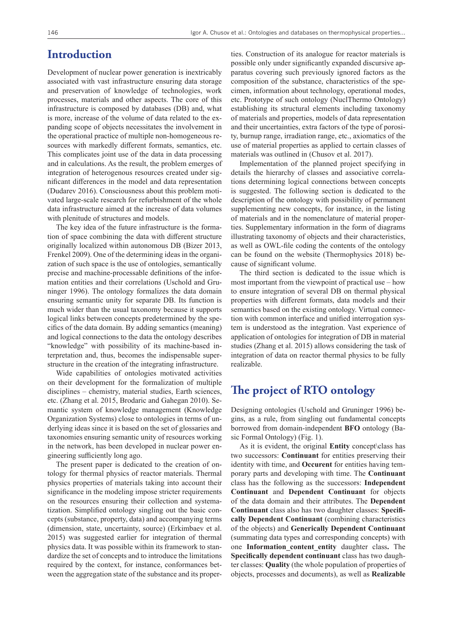#### **Introduction**

Development of nuclear power generation is inextricably associated with vast infrastructure ensuring data storage and preservation of knowledge of technologies, work processes, materials and other aspects. The core of this infrastructure is composed by databases (DB) and, what is more, increase of the volume of data related to the expanding scope of objects necessitates the involvement in the operational practice of multiple non-homogeneous resources with markedly different formats, semantics, etc. This complicates joint use of the data in data processing and in calculations. As the result, the problem emerges of integration of heterogenous resources created under significant differences in the model and data representation (Dudarev 2016). Consciousness about this problem motivated large-scale research for refurbishment of the whole data infrastructure aimed at the increase of data volumes with plenitude of structures and models.

The key idea of the future infrastructure is the formation of space combining the data with different structure originally localized within autonomous DB (Bizer 2013, Frenkel 2009). One of the determining ideas in the organization of such space is the use of ontologies, semantically precise and machine-processable definitions of the information entities and their correlations (Uschold and Gruninger 1996). The ontology formalizes the data domain ensuring semantic unity for separate DB. Its function is much wider than the usual taxonomy because it supports logical links between concepts predetermined by the specifics of the data domain. By adding semantics (meaning) and logical connections to the data the ontology describes "knowledge" with possibility of its machine-based interpretation and, thus, becomes the indispensable superstructure in the creation of the integrating infrastructure.

Wide capabilities of ontologies motivated activities on their development for the formalization of multiple disciplines – chemistry, material studies, Earth sciences, etc. (Zhang et al. 2015, Brodaric and Gahegan 2010). Semantic system of knowledge management (Knowledge Organization Systems) close to ontologies in terms of underlying ideas since it is based on the set of glossaries and taxonomies ensuring semantic unity of resources working in the network, has been developed in nuclear power engineering sufficiently long ago.

The present paper is dedicated to the creation of ontology for thermal physics of reactor materials. Thermal physics properties of materials taking into account their significance in the modeling impose stricter requirements on the resources ensuring their collection and systematization. Simplified ontology singling out the basic concepts (substance, property, data) and accompanying terms (dimension, state, uncertainty, source) (Erkimbaev et al. 2015) was suggested earlier for integration of thermal physics data. It was possible within its framework to standardize the set of concepts and to introduce the limitations required by the context, for instance, conformances between the aggregation state of the substance and its properties. Construction of its analogue for reactor materials is possible only under significantly expanded discursive apparatus covering such previously ignored factors as the composition of the substance, characteristics of the specimen, information about technology, operational modes, etc. Prototype of such ontology (NuclThermo Ontology) establishing its structural elements including taxonomy of materials and properties, models of data representation and their uncertainties, extra factors of the type of porosity, burnup range, irradiation range, etc., axiomatics of the use of material properties as applied to certain classes of materials was outlined in (Chusov et al. 2017).

Implementation of the planned project specifying in details the hierarchy of classes and associative correlations determining logical connections between concepts is suggested. The following section is dedicated to the description of the ontology with possibility of permanent supplementing new concepts, for instance, in the listing of materials and in the nomenclature of material properties. Supplementary information in the form of diagrams illustrating taxonomy of objects and their characteristics, as well as OWL-file coding the contents of the ontology can be found on the website (Thermophysics 2018) because of significant volume.

The third section is dedicated to the issue which is most important from the viewpoint of practical use – how to ensure integration of several DB on thermal physical properties with different formats, data models and their semantics based on the existing ontology. Virtual connection with common interface and unified interrogation system is understood as the integration. Vast experience of application of ontologies for integration of DB in material studies (Zhang et al. 2015) allows considering the task of integration of data on reactor thermal physics to be fully realizable.

## **The project of RTO ontology**

Designing ontologies (Uschold and Gruninger 1996) begins, as a rule, from singling out fundamental concepts borrowed from domain-independent **BFO** ontology (Basic Formal Ontology) (Fig. 1).

As it is evident, the original **Entity** concept\class has two successors: **Continuant** for entities preserving their identity with time, and **Occurent** for entities having temporary parts and developing with time. The **Continuant** class has the following as the successors: **Independent Continuant** and **Dependent Continuant** for objects of the data domain and their attributes. The **Dependent Continuant** class also has two daughter classes: **Specifically Dependent Continuant** (combining characteristics of the objects) and **Generically Dependent Continuant** (summating data types and corresponding concepts) with one **Information\_content\_entity** daughter class**.** The **Specifically dependent continuant** class has two daughter classes: **Quality** (the whole population of properties of objects, processes and documents), as well as **Realizable**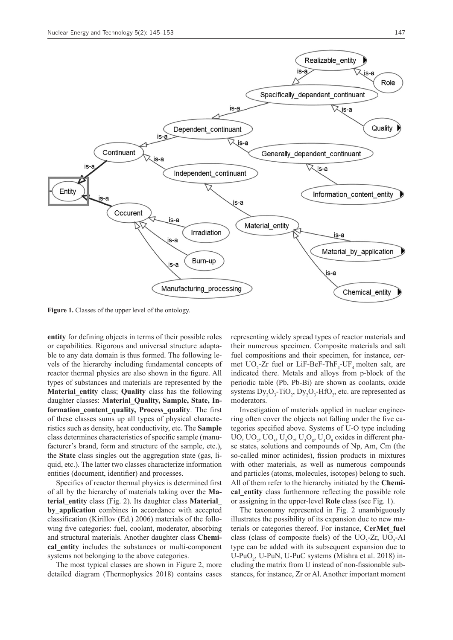

**Figure 1.** Classes of the upper level of the ontology.

**entity** for defining objects in terms of their possible roles or capabilities. Rigorous and universal structure adaptable to any data domain is thus formed. The following levels of the hierarchy including fundamental concepts of reactor thermal physics are also shown in the figure. All types of substances and materials are represented by the **Material\_entity** class; **Quality** class has the following daughter classes: **Material\_Quality, Sample, State, Information\_content\_quality, Process\_quality**. The first of these classes sums up all types of physical characteristics such as density, heat conductivity, etc. The **Sample** class determines characteristics of specific sample (manufacturer's brand, form and structure of the sample, etc.), the **State** class singles out the aggregation state (gas, liquid, etc.). The latter two classes characterize information entities (document, identifier) and processes.

Specifics of reactor thermal physics is determined first of all by the hierarchy of materials taking over the **Material\_entity** class (Fig. 2). Its daughter class **Material\_** by application combines in accordance with accepted classification (Kirillov (Ed.) 2006) materials of the following five categories: fuel, coolant, moderator, absorbing and structural materials. Another daughter class **Chemical\_entity** includes the substances or multi-component systems not belonging to the above categories.

The most typical classes are shown in Figure 2, more detailed diagram (Thermophysics 2018) contains cases representing widely spread types of reactor materials and their numerous specimen. Composite materials and salt fuel compositions and their specimen, for instance, cermet  $UO_2$ -Zr fuel or LiF-BeF-ThF<sub>4</sub>-UF<sub>4</sub> molten salt, are indicated there. Metals and alloys from p-block of the periodic table (Pb, Pb-Bi) are shown as coolants, oxide systems  $\text{Dy}_2\text{O}_3\text{-TiO}_2$ ,  $\text{Dy}_2\text{O}_3\text{-HfO}_2$ , etc. are represented as moderators.

Investigation of materials applied in nuclear engineering often cover the objects not falling under the five categories specified above. Systems of U-O type including UO, UO<sub>2</sub>, UO<sub>3</sub>, U<sub>3</sub>O<sub>7</sub>, U<sub>3</sub>O<sub>8</sub>, U<sub>4</sub>O<sub>9</sub> oxides in different phase states, solutions and compounds of Np, Am, Cm (the so-called minor actinides), fission products in mixtures with other materials, as well as numerous compounds and particles (atoms, molecules, isotopes) belong to such. All of them refer to the hierarchy initiated by the **Chemical** entity class furthermore reflecting the possible role or assigning in the upper-level **Role** class (see Fig. 1).

The taxonomy represented in Fig. 2 unambiguously illustrates the possibility of its expansion due to new materials or categories thereof. For instance, **CerMet\_fuel**  class (class of composite fuels) of the  $UO_2$ -Zr,  $UO_2$ -Al type can be added with its subsequent expansion due to U-PuO<sub>2</sub>, U-PuN, U-PuC systems (Mishra et al. 2018) including the matrix from U instead of non-fissionable substances, for instance, Zr or Al. Another important moment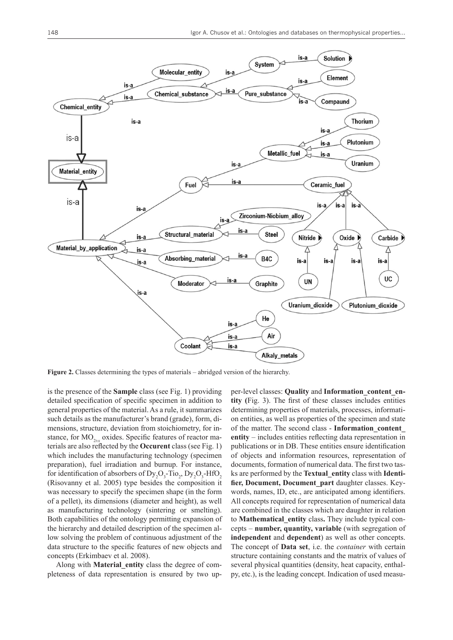

**Figure 2.** Classes determining the types of materials – abridged version of the hierarchy.

is the presence of the **Sample** class (see Fig. 1) providing detailed specification of specific specimen in addition to general properties of the material. As a rule, it summarizes such details as the manufacturer's brand (grade), form, dimensions, structure, deviation from stoichiometry, for instance, for MO<sub>2±x</sub> oxides. Specific features of reactor materials are also reflected by the **Occurent** class (see Fig. 1) which includes the manufacturing technology (specimen preparation), fuel irradiation and burnup. For instance, for identification of absorbers of  $\text{Dy}_2\text{O}_3\text{-}\text{TiO}_2$ ,  $\text{Dy}_2\text{O}_3\text{-}\text{HfO}_2$ (Risovanny et al. 2005) type besides the composition it was necessary to specify the specimen shape (in the form of a pellet), its dimensions (diameter and height), as well as manufacturing technology (sintering or smelting). Both capabilities of the ontology permitting expansion of the hierarchy and detailed description of the specimen allow solving the problem of continuous adjustment of the data structure to the specific features of new objects and concepts (Erkimbaev et al. 2008).

Along with **Material\_entity** class the degree of completeness of data representation is ensured by two upper-level classes: **Quality** and **Information\_content\_entity (**Fig. 3). The first of these classes includes entities determining properties of materials, processes, information entities, as well as properties of the specimen and state of the matter. The second class - **Information\_content\_ entity** – includes entities reflecting data representation in publications or in DB. These entities ensure identification of objects and information resources, representation of documents, formation of numerical data. The first two tasks are performed by the **Textual\_entity** class with **Identifier, Document, Document\_part** daughter classes. Keywords, names, ID, etc., are anticipated among identifiers. All concepts required for representation of numerical data are combined in the classes which are daughter in relation to **Mathematical\_entity** class**.** They include typical concepts – **number, quantity, variable** (with segregation of **independent** and **dependent**) as well as other concepts. The concept of **Data set**, i.e. the *container* with certain structure containing constants and the matrix of values of several physical quantities (density, heat capacity, enthalpy, etc.), is the leading concept. Indication of used measu-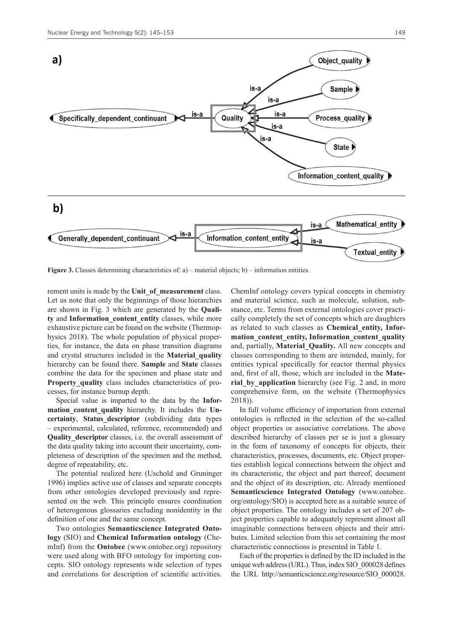

**Figure 3.** Classes determining characteristics of: a) – material objects; b) – information entities.

rement units is made by the **Unit\_of\_measurement** class. Let us note that only the beginnings of those hierarchies are shown in Fig. 3 which are generated by the **Quality** and **Information\_content\_entity** classes, while more exhaustive picture can be found on the website (Thermophysics 2018). The whole population of physical properties, for instance, the data on phase transition diagrams and crystal structures included in the **Material\_quality** hierarchy can be found there. **Sample** and **State** classes combine the data for the specimen and phase state and Property quality class includes characteristics of processes, for instance burnup depth.

Special value is imparted to the data by the **Information** content quality hierarchy. It includes the Un**certainty**, **Status\_descriptor** (subdividing data types – experimental, calculated, reference, recommended) and **Quality descriptor** classes, i.e. the overall assessment of the data quality taking into account their uncertainty, completeness of description of the specimen and the method, degree of repeatability, etc.

The potential realized here (Uschold and Gruninger 1996) implies active use of classes and separate concepts from other ontologies developed previously and represented on the web. This principle ensures coordination of heterogenous glossaries excluding nonidentity in the definition of one and the same concept.

Two ontologies **Semanticscience Integrated Ontology** (SIO) and **Chemical Information ontology** (ChemInf) from the **Ontobee** (www.ontobee.org) repository were used along with BFO ontology for importing concepts. SIO ontology represents wide selection of types and correlations for description of scientific activities. ChemInf ontology covers typical concepts in chemistry and material science, such as molecule, solution, substance, etc. Terms from external ontologies cover practically completely the set of concepts which are daughters as related to such classes as **Chemical\_entity, Information\_content\_entity, Information\_content\_quality** and, partially, **Material\_Quality.** All new concepts and classes corresponding to them are intended, mainly, for entities typical specifically for reactor thermal physics and, first of all, those, which are included in the **Mate**rial by application hierarchy (see Fig. 2 and, in more comprehensive form, on the website (Thermophysics 2018)).

In full volume efficiency of importation from external ontologies is reflected in the selection of the so-called object properties or associative correlations. The above described hierarchy of classes per se is just a glossary in the form of taxonomy of concepts for objects, their characteristics, processes, documents, etc. Object properties establish logical connections between the object and its characteristic, the object and part thereof, document and the object of its description, etc. Already mentioned **Semanticscience Integrated Ontology** (www.ontobee. org/ontology/SIO) is accepted here as a suitable source of object properties. The ontology includes a set of 207 object properties capable to adequately represent almost all imaginable connections between objects and their attributes. Limited selection from this set containing the most characteristic connections is presented in Table 1.

Each of the properties is defined by the ID included in the unique web address (URL). Thus, index SIO\_000028 defines the URL [http://semanticscience.org/resource/SIO\\_000028.](http://semanticscience.org/resource/SIO_000028.rdf)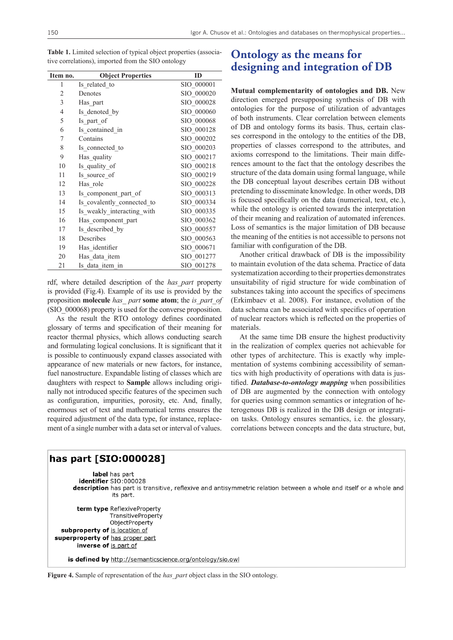| Item no.       | <b>Object Properties</b>   | ID         |
|----------------|----------------------------|------------|
| 1              | Is related to              | SIO 000001 |
| $\overline{2}$ | Denotes                    | SIO 000020 |
| 3              | Has part                   | SIO 000028 |
| $\overline{4}$ | Is denoted by              | SIO 000060 |
| 5              | Is part of                 | SIO 000068 |
| 6              | Is contained in            | SIO 000128 |
| 7              | Contains                   | SIO 000202 |
| 8              | Is connected to            | SIO 000203 |
| 9              | Has quality                | SIO 000217 |
| 10             | Is quality of              | SIO 000218 |
| 11             | Is source of               | SIO 000219 |
| 12             | Has role                   | SIO 000228 |
| 13             | Is component_part_of       | SIO 000313 |
| 14             | Is covalently connected to | SIO 000334 |
| 15             | Is weakly interacting with | SIO 000335 |
| 16             | Has component part         | SIO 000362 |
| 17             | Is described by            | SIO 000557 |
| 18             | Describes                  | SIO 000563 |
| 19             | Has identifier             | SIO 000671 |
| 20             | Has data item              | SIO 001277 |
| 21             | Is data item in            | SIO 001278 |

**Table 1.** Limited selection of typical object properties (associative correlations), imported from the SIO ontology

[rdf](http://semanticscience.org/resource/SIO_000028.rdf), where detailed description of the *has\_part* property is provided (Fig.4). Example of its use is provided by the proposition **molecule** *has\_ part* **some atom**; the *is\_part\_of* (SIO\_000068) property is used for the converse proposition.

As the result the RTO ontology defines coordinated glossary of terms and specification of their meaning for reactor thermal physics, which allows conducting search and formulating logical conclusions. It is significant that it is possible to continuously expand classes associated with appearance of new materials or new factors, for instance, fuel nanostructure. Expandable listing of classes which are daughters with respect to **Sample** allows including originally not introduced specific features of the specimen such as configuration, impurities, porosity, etc. And, finally, enormous set of text and mathematical terms ensures the required adjustment of the data type, for instance, replacement of a single number with a data set or interval of values.

## **Ontology as the means for designing and integration of DB**

**Mutual complementarity of ontologies and DB.** New direction emerged presupposing synthesis of DB with ontologies for the purpose of utilization of advantages of both instruments. Clear correlation between elements of DB and ontology forms its basis. Thus, certain classes correspond in the ontology to the entities of the DB, properties of classes correspond to the attributes, and axioms correspond to the limitations. Their main differences amount to the fact that the ontology describes the structure of the data domain using formal language, while the DB conceptual layout describes certain DB without pretending to disseminate knowledge. In other words, DB is focused specifically on the data (numerical, text, etc.), while the ontology is oriented towards the interpretation of their meaning and realization of automated inferences. Loss of semantics is the major limitation of DB because the meaning of the entities is not accessible to persons not familiar with configuration of the DB.

Another critical drawback of DB is the impossibility to maintain evolution of the data schema. Practice of data systematization according to their properties demonstrates unsuitability of rigid structure for wide combination of substances taking into account the specifics of specimens (Erkimbaev et al. 2008). For instance, evolution of the data schema can be associated with specifics of operation of nuclear reactors which is reflected on the properties of materials.

At the same time DB ensure the highest productivity in the realization of complex queries not achievable for other types of architecture. This is exactly why implementation of systems combining accessibility of semantics with high productivity of operations with data is justified. *Database-to-ontology mapping* when possibilities of DB are augmented by the connection with ontology for queries using common semantics or integration of heterogenous DB is realized in the DB design or integration tasks. Ontology ensures semantics, i.e. the glossary, correlations between concepts and the data structure, but,

```
has part [SIO:000028]
            label has part
        identifier SIO:000028
      description has part is transitive, reflexive and antisymmetric relation between a whole and itself or a whole and
                  its part.
       term type ReflexiveProperty
                  TransitiveProperty
                  ObjectProperty
  subproperty of is location of
superproperty of has proper part
       inverse of is part of
    is defined by http://semanticscience.org/ontology/sio.owl
```
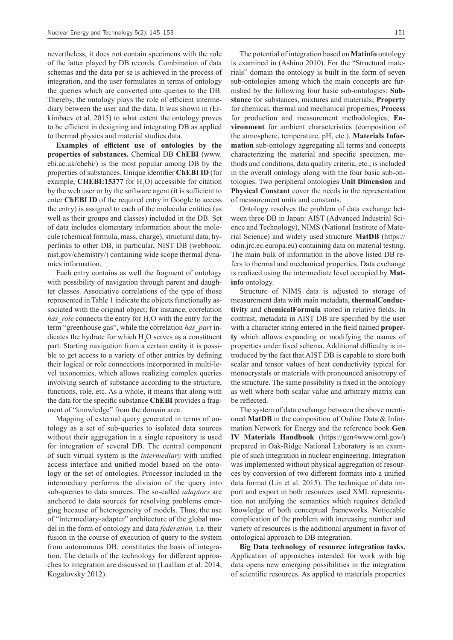nevertheless, it does not contain specimens with the role of the latter played by DB records. Combination of data schemas and the data per se is achieved in the process of integration, and the user formulates in terms of ontology the queries which are converted into queries to the DB. Thereby, the ontology plays the role of efficient intermediary between the user and the data. It was shown in (Erkimbaev et al. 2015) to what extent the ontology proves to be efficient in designing and integrating DB as applied to thermal physics and material studies data.

**Examples of efficient use of ontologies by the properties of substances.** Chemical DB **ChEBI** (www. ebi.ac.uk/chebi/) is the most popular among DB by the properties of substances. Unique identifier **ChEBI ID** (for example, CHEBI:15377 for H<sub>2</sub>O) accessible for citation by the web user or by the software agent (it is sufficient to enter **ChEBI ID** of the required entry in Google to access the entry) is assigned to each of the molecular entities (as well as their groups and classes) included in the DB. Set of data includes elementary information about the molecule (chemical formula, mass, charge), structural data, hyperlinks to other DB, in particular, NIST DB (webbook. nist.gov/chemistry/) containing wide scope thermal dynamics information.

Each entry contains as well the fragment of ontology with possibility of navigation through parent and daughter classes. Associative correlations of the type of those represented in Table 1 indicate the objects functionally associated with the original object; for instance, correlation has\_role connects the entry for H<sub>2</sub>O with the entry for the term "greenhouse gas", while the correlation *has\_part* indicates the hydrate for which  $H_2O$  serves as a constituent part. Starting navigation from a certain entity it is possible to get access to a variety of other entries by defining their logical or role connections incorporated in multi-level taxonomies, which allows realizing complex queries involving search of substance according to the structure, functions, role, etc. As a whole, it means that along with the data for the specific substance **ChEBI** provides a fragment of "knowledge" from the domain area.

Mapping of external query generated in terms of ontology as a set of sub-queries to isolated data sources without their aggregation in a single repository is used for integration of several DB. The central component of such virtual system is the *intermediary* with unified access interface and unified model based on the ontology or the set of ontologies. Processor included in the intermediary performs the division of the query into sub-queries to data sources. The so-called *adaptors* are anchored to data sources for resolving problems emerging because of heterogeneity of models. Thus, the use of "intermediary-adapter" architecture of the global model in the form of ontology and data *federation,* i.e. their fusion in the course of execution of query to the system from autonomous DB, constitutes the basis of integration. The details of the technology for different approaches to integration are discussed in (Laallam et al. 2014, Kogalovsky 2012).

The potential of integration based on **Matinfo** ontology is examined in (Ashino 2010). For the "Structural materials" domain the ontology is built in the form of seven sub-ontologies among which the main concepts are furnished by the following four basic sub-ontologies: **Substance** for substances, mixtures and materials; **Property** for chemical, thermal and mechanical properties; **Process**  for production and measurement methodologies; **Environment** for ambient characteristics (composition of the atmosphere, temperature, pH, etc.). **Materials Information** sub-ontology aggregating all terms and concepts characterizing the material and specific specimen, methods and conditions, data quality criteria, etc., is included in the overall ontology along with the four basic sub-ontologies. Two peripheral ontologies **Unit Dimension** and **Physical Constant** cover the needs in the representation of measurement units and constants.

Ontology resolves the problem of data exchange between three DB in Japan: AIST (Advanced Industrial Science and Technology), NIMS (National Institute of Material Science) and widely used structure **MatDB** [\(https://](https://odin.jrc.ec.europa.eu) [odin.jrc.ec.europa.eu](https://odin.jrc.ec.europa.eu)) containing data on material testing. The main bulk of information in the above listed DB refers to thermal and mechanical properties. Data exchange is realized using the intermediate level occupied by **Matinfo** ontology.

Structure of NIMS data is adjusted to storage of measurement data with main metadata, **thermalConductivity** and **chemicalFormula** stored in relative fields. In contrast, metadata in AIST DB are specified by the user with a character string entered in the field named **property** which allows expanding or modifying the names of properties under fixed schema. Additional difficulty is introduced by the fact that AIST DB is capable to store both scalar and tensor values of heat conductivity typical for monocrystals or materials with pronounced anisotropy of the structure. The same possibility is fixed in the ontology as well where both scalar value and arbitrary matrix can be reflected.

The system of data exchange between the above mentioned **MatDB** in the composition of Online Data & Information Network for Energy and the reference book **Gen IV Materials Handbook** [\(https://gen4www.ornl.gov/\)](https://gen4www.ornl.gov/) prepared in Oak-Ridge National Laboratory is an example of such integration in nuclear engineering. Integration was implemented without physical aggregation of resources by conversion of two different formats into a unified data format (Lin et al. 2015). The technique of data import and export in both resources used XML representation not unifying the semantics which requires detailed knowledge of both conceptual frameworks. Noticeable complication of the problem with increasing number and variety of resources is the additional argument in favor of ontological approach to DB integration.

**Big Data technology of resource integration tasks.**  Application of approaches intended for work with big data opens new emerging possibilities in the integration of scientific resources. As applied to materials properties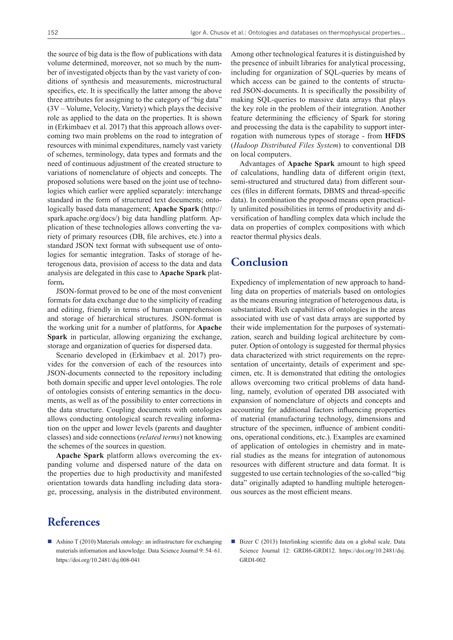the source of big data is the flow of publications with data volume determined, moreover, not so much by the number of investigated objects than by the vast variety of conditions of synthesis and measurements, microstructural specifics, etc. It is specifically the latter among the above three attributes for assigning to the category of "big data" (3V – Volume, Velocity, Variety) which plays the decisive role as applied to the data on the properties. It is shown in (Erkimbaev et al. 2017) that this approach allows overcoming two main problems on the road to integration of resources with minimal expenditures, namely vast variety of schemes, terminology, data types and formats and the need of continuous adjustment of the created structure to variations of nomenclature of objects and concepts. The proposed solutions were based on the joint use of technologies which earlier were applied separately: interchange standard in the form of structured text documents; ontologically based data management; **Apache Spark** ([http://](http://spark.apache.org/docs/) [spark.apache.org/docs/\)](http://spark.apache.org/docs/) big data handling platform. Application of these technologies allows converting the variety of primary resources (DB, file archives, etc.) into a standard JSON text format with subsequent use of ontologies for semantic integration. Tasks of storage of heterogenous data, provision of access to the data and data analysis are delegated in this case to **Apache Spark** platform**.**

JSON-format proved to be one of the most convenient formats for data exchange due to the simplicity of reading and editing, friendly in terms of human comprehension and storage of hierarchical structures. JSON-format is the working unit for a number of platforms, for **Apache Spark** in particular, allowing organizing the exchange, storage and organization of queries for dispersed data.

Scenario developed in (Erkimbaev et al. 2017) provides for the conversion of each of the resources into JSON-documents connected to the repository including both domain specific and upper level ontologies. The role of ontologies consists of entering semantics in the documents, as well as of the possibility to enter corrections in the data structure. Coupling documents with ontologies allows conducting ontological search revealing information on the upper and lower levels (parents and daughter classes) and side connections (*related terms*) not knowing the schemes of the sources in question.

**Apache Spark** platform allows overcoming the expanding volume and dispersed nature of the data on the properties due to high productivity and manifested orientation towards data handling including data storage, processing, analysis in the distributed environment.

Among other technological features it is distinguished by the presence of inbuilt libraries for analytical processing, including for organization of SQL-queries by means of which access can be gained to the contents of structured JSON-documents. It is specifically the possibility of making SQL-queries to massive data arrays that plays the key role in the problem of their integration. Another feature determining the efficiency of Spark for storing and processing the data is the capability to support interrogation with numerous types of storage - from **HFDS** (*Hadoop Distributed Files System*) to conventional DB on local computers.

Advantages of **Apache Spark** amount to high speed of calculations, handling data of different origin (text, semi-structured and structured data) from different sources (files in different formats, DBMS and thread-specific data). In combination the proposed means open practically unlimited possibilities in terms of productivity and diversification of handling complex data which include the data on properties of complex compositions with which reactor thermal physics deals.

### **Conclusion**

Expediency of implementation of new approach to handling data on properties of materials based on ontologies as the means ensuring integration of heterogenous data, is substantiated. Rich capabilities of ontologies in the areas associated with use of vast data arrays are supported by their wide implementation for the purposes of systematization, search and building logical architecture by computer. Option of ontology is suggested for thermal physics data characterized with strict requirements on the representation of uncertainty, details of experiment and specimen, etc. It is demonstrated that editing the ontologies allows overcoming two critical problems of data handling, namely, evolution of operated DB associated with expansion of nomenclature of objects and concepts and accounting for additional factors influencing properties of material (manufacturing technology, dimensions and structure of the specimen, influence of ambient conditions, operational conditions, etc.). Examples are examined of application of ontologies in chemistry and in material studies as the means for integration of autonomous resources with different structure and data format. It is suggested to use certain technologies of the so-called "big data" originally adapted to handling multiple heterogenous sources as the most efficient means.

## **References**

- Ashino T (2010) Materials ontology: an infrastructure for exchanging materials information and knowledge. Data Science Journal 9: 54–61. <https://doi.org/10.2481/dsj.008-041>
- Bizer C (2013) Interlinking scientific data on a global scale. Data Science Journal 12: GRDI6-GRDI12. [https://doi.org/10.2481/dsj.](https://doi.org/10.2481/dsj.GRDI-002) [GRDI-002](https://doi.org/10.2481/dsj.GRDI-002)